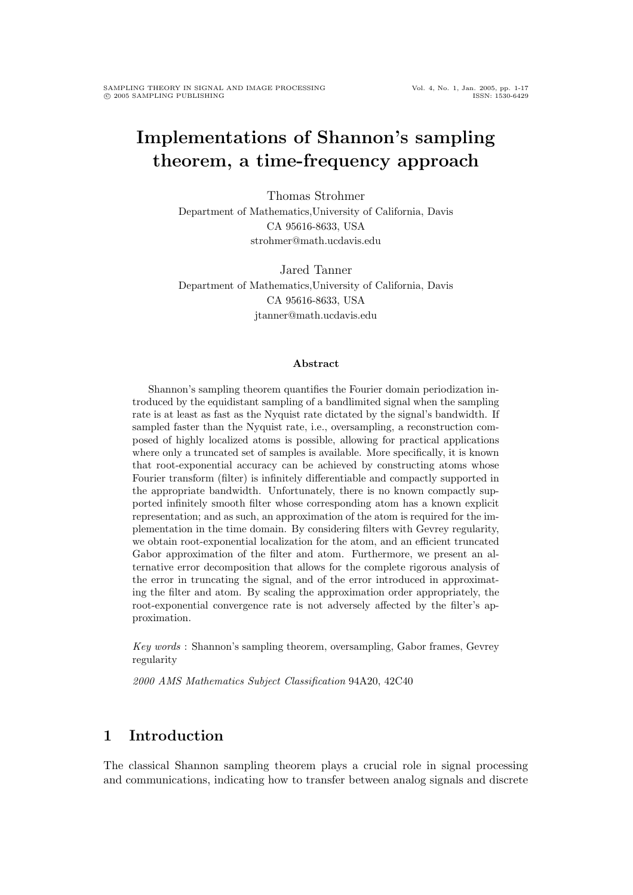# Implementations of Shannon's sampling theorem, a time-frequency approach

Thomas Strohmer Department of Mathematics,University of California, Davis CA 95616-8633, USA strohmer@math.ucdavis.edu

Jared Tanner Department of Mathematics,University of California, Davis CA 95616-8633, USA jtanner@math.ucdavis.edu

#### Abstract

Shannon's sampling theorem quantifies the Fourier domain periodization introduced by the equidistant sampling of a bandlimited signal when the sampling rate is at least as fast as the Nyquist rate dictated by the signal's bandwidth. If sampled faster than the Nyquist rate, i.e., oversampling, a reconstruction composed of highly localized atoms is possible, allowing for practical applications where only a truncated set of samples is available. More specifically, it is known that root-exponential accuracy can be achieved by constructing atoms whose Fourier transform (filter) is infinitely differentiable and compactly supported in the appropriate bandwidth. Unfortunately, there is no known compactly supported infinitely smooth filter whose corresponding atom has a known explicit representation; and as such, an approximation of the atom is required for the implementation in the time domain. By considering filters with Gevrey regularity, we obtain root-exponential localization for the atom, and an efficient truncated Gabor approximation of the filter and atom. Furthermore, we present an alternative error decomposition that allows for the complete rigorous analysis of the error in truncating the signal, and of the error introduced in approximating the filter and atom. By scaling the approximation order appropriately, the root-exponential convergence rate is not adversely affected by the filter's approximation.

Key words : Shannon's sampling theorem, oversampling, Gabor frames, Gevrey regularity

2000 AMS Mathematics Subject Classification 94A20, 42C40

# 1 Introduction

The classical Shannon sampling theorem plays a crucial role in signal processing and communications, indicating how to transfer between analog signals and discrete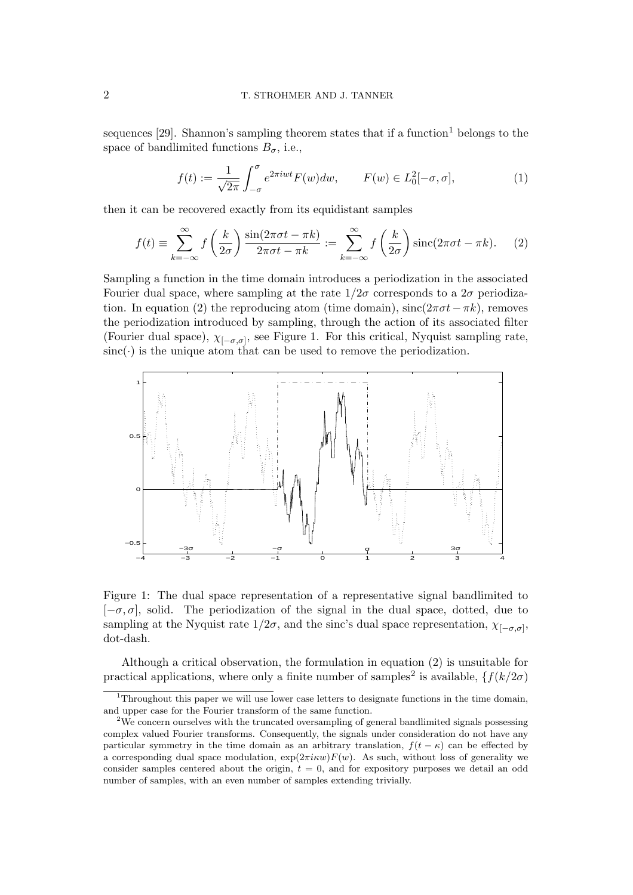sequences  $[29]$ . Shannon's sampling theorem states that if a function<sup>1</sup> belongs to the space of bandlimited functions  $B_{\sigma}$ , i.e.,

$$
f(t) := \frac{1}{\sqrt{2\pi}} \int_{-\sigma}^{\sigma} e^{2\pi iwt} F(w) dw, \qquad F(w) \in L_0^2[-\sigma, \sigma], \tag{1}
$$

then it can be recovered exactly from its equidistant samples

$$
f(t) \equiv \sum_{k=-\infty}^{\infty} f\left(\frac{k}{2\sigma}\right) \frac{\sin(2\pi\sigma t - \pi k)}{2\pi\sigma t - \pi k} := \sum_{k=-\infty}^{\infty} f\left(\frac{k}{2\sigma}\right) \operatorname{sinc}(2\pi\sigma t - \pi k). \tag{2}
$$

Sampling a function in the time domain introduces a periodization in the associated Fourier dual space, where sampling at the rate  $1/2\sigma$  corresponds to a  $2\sigma$  periodization. In equation (2) the reproducing atom (time domain),  $\text{sinc}(2\pi\sigma t-\pi k)$ , removes the periodization introduced by sampling, through the action of its associated filter (Fourier dual space),  $\chi_{[-\sigma,\sigma]}$ , see Figure 1. For this critical, Nyquist sampling rate,  $sinc(\cdot)$  is the unique atom that can be used to remove the periodization.



Figure 1: The dual space representation of a representative signal bandlimited to  $[-\sigma, \sigma]$ , solid. The periodization of the signal in the dual space, dotted, due to sampling at the Nyquist rate  $1/2\sigma$ , and the sinc's dual space representation,  $\chi_{[-\sigma,\sigma]},$ dot-dash.

Although a critical observation, the formulation in equation (2) is unsuitable for practical applications, where only a finite number of samples<sup>2</sup> is available,  $\{f(k/2\sigma)$ 

<sup>&</sup>lt;sup>1</sup>Throughout this paper we will use lower case letters to designate functions in the time domain, and upper case for the Fourier transform of the same function.

<sup>&</sup>lt;sup>2</sup>We concern ourselves with the truncated oversampling of general bandlimited signals possessing complex valued Fourier transforms. Consequently, the signals under consideration do not have any particular symmetry in the time domain as an arbitrary translation,  $f(t - \kappa)$  can be effected by a corresponding dual space modulation,  $\exp(2\pi i \kappa w)F(w)$ . As such, without loss of generality we consider samples centered about the origin,  $t = 0$ , and for expository purposes we detail an odd number of samples, with an even number of samples extending trivially.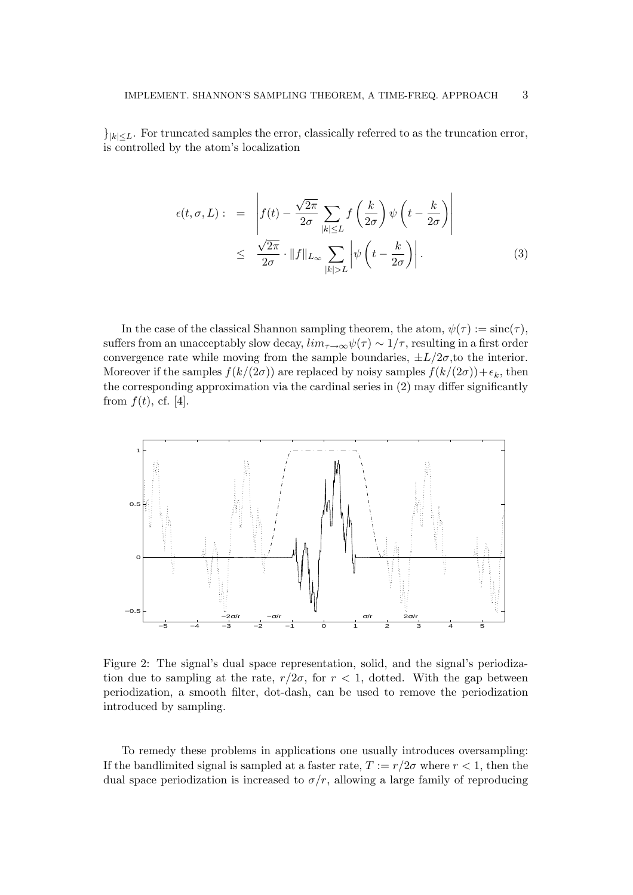$\vert k \vert \leq L$ . For truncated samples the error, classically referred to as the truncation error, is controlled by the atom's localization

$$
\epsilon(t,\sigma,L): = \left| f(t) - \frac{\sqrt{2\pi}}{2\sigma} \sum_{|k| \le L} f\left(\frac{k}{2\sigma}\right) \psi\left(t - \frac{k}{2\sigma}\right) \right|
$$
  
 
$$
\le \frac{\sqrt{2\pi}}{2\sigma} \cdot ||f||_{L_{\infty}} \sum_{|k| > L} \left| \psi\left(t - \frac{k}{2\sigma}\right) \right|.
$$
 (3)

In the case of the classical Shannon sampling theorem, the atom,  $\psi(\tau) := \text{sinc}(\tau)$ , suffers from an unacceptably slow decay,  $\lim_{\tau\to\infty}\psi(\tau) \sim 1/\tau$ , resulting in a first order convergence rate while moving from the sample boundaries,  $\pm L/2\sigma$ , to the interior. Moreover if the samples  $f(k/(2\sigma))$  are replaced by noisy samples  $f(k/(2\sigma)) + \epsilon_k$ , then the corresponding approximation via the cardinal series in (2) may differ significantly from  $f(t)$ , cf. [4].



Figure 2: The signal's dual space representation, solid, and the signal's periodization due to sampling at the rate,  $r/2\sigma$ , for  $r < 1$ , dotted. With the gap between periodization, a smooth filter, dot-dash, can be used to remove the periodization introduced by sampling.

To remedy these problems in applications one usually introduces oversampling: If the bandlimited signal is sampled at a faster rate,  $T := r/2\sigma$  where  $r < 1$ , then the dual space periodization is increased to  $\sigma/r$ , allowing a large family of reproducing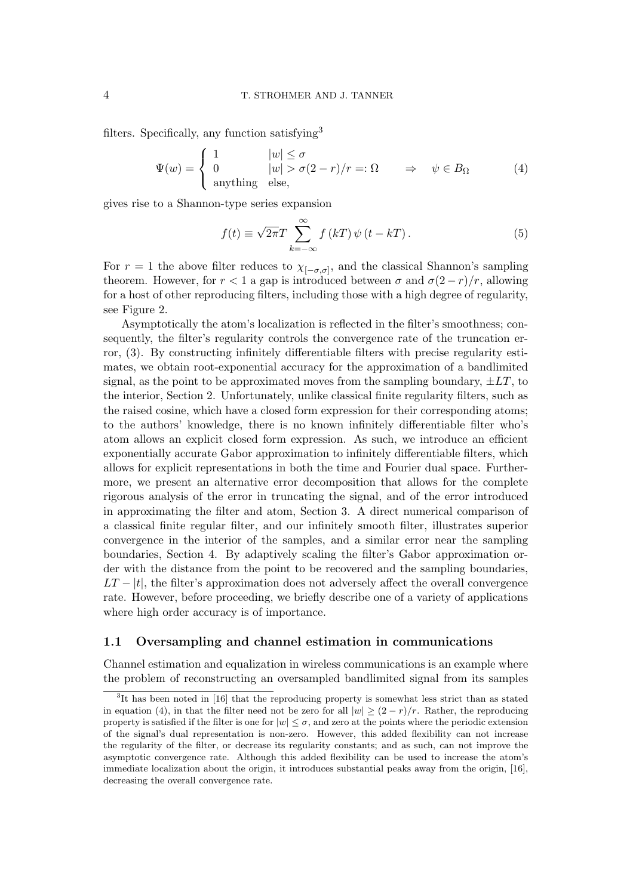filters. Specifically, any function satisfying<sup>3</sup>

$$
\Psi(w) = \begin{cases}\n1 & |w| \le \sigma \\
0 & |w| > \sigma(2 - r)/r =: \Omega \\
\text{anything else,} & \text{else,}\n\end{cases} \Rightarrow \psi \in B_{\Omega}
$$
\n(4)

gives rise to a Shannon-type series expansion

$$
f(t) \equiv \sqrt{2\pi}T\sum_{k=-\infty}^{\infty} f(kT)\,\psi\left(t - kT\right). \tag{5}
$$

For  $r = 1$  the above filter reduces to  $\chi_{[-\sigma,\sigma]},$  and the classical Shannon's sampling theorem. However, for  $r < 1$  a gap is introduced between  $\sigma$  and  $\sigma(2-r)/r$ , allowing for a host of other reproducing filters, including those with a high degree of regularity, see Figure 2.

Asymptotically the atom's localization is reflected in the filter's smoothness; consequently, the filter's regularity controls the convergence rate of the truncation error, (3). By constructing infinitely differentiable filters with precise regularity estimates, we obtain root-exponential accuracy for the approximation of a bandlimited signal, as the point to be approximated moves from the sampling boundary,  $\pm LT$ , to the interior, Section 2. Unfortunately, unlike classical finite regularity filters, such as the raised cosine, which have a closed form expression for their corresponding atoms; to the authors' knowledge, there is no known infinitely differentiable filter who's atom allows an explicit closed form expression. As such, we introduce an efficient exponentially accurate Gabor approximation to infinitely differentiable filters, which allows for explicit representations in both the time and Fourier dual space. Furthermore, we present an alternative error decomposition that allows for the complete rigorous analysis of the error in truncating the signal, and of the error introduced in approximating the filter and atom, Section 3. A direct numerical comparison of a classical finite regular filter, and our infinitely smooth filter, illustrates superior convergence in the interior of the samples, and a similar error near the sampling boundaries, Section 4. By adaptively scaling the filter's Gabor approximation order with the distance from the point to be recovered and the sampling boundaries,  $LT - |t|$ , the filter's approximation does not adversely affect the overall convergence rate. However, before proceeding, we briefly describe one of a variety of applications where high order accuracy is of importance.

### 1.1 Oversampling and channel estimation in communications

Channel estimation and equalization in wireless communications is an example where the problem of reconstructing an oversampled bandlimited signal from its samples

<sup>&</sup>lt;sup>3</sup>It has been noted in [16] that the reproducing property is somewhat less strict than as stated in equation (4), in that the filter need not be zero for all  $|w| \ge (2 - r)/r$ . Rather, the reproducing property is satisfied if the filter is one for  $|w| \leq \sigma$ , and zero at the points where the periodic extension of the signal's dual representation is non-zero. However, this added flexibility can not increase the regularity of the filter, or decrease its regularity constants; and as such, can not improve the asymptotic convergence rate. Although this added flexibility can be used to increase the atom's immediate localization about the origin, it introduces substantial peaks away from the origin, [16], decreasing the overall convergence rate.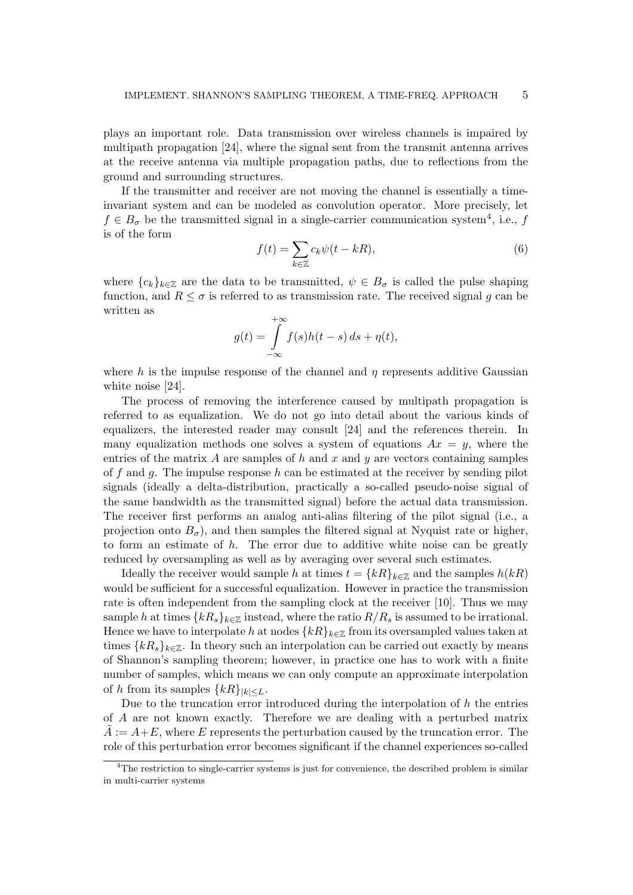plays an important role. Data transmission over wireless channels is impaired by multipath propagation [24], where the signal sent from the transmit antenna arrives at the receive antenna via multiple propagation paths, due to reflections from the ground and surrounding structures.

If the transmitter and receiver are not moving the channel is essentially a timeinvariant system and can be modeled as convolution operator. More precisely, let  $f \in B_{\sigma}$  be the transmitted signal in a single-carrier communication system<sup>4</sup>, i.e., f is of the form

$$
f(t) = \sum_{k \in \mathbb{Z}} c_k \psi(t - kR),\tag{6}
$$

where  ${c_k}_{k \in \mathbb{Z}}$  are the data to be transmitted,  $\psi \in B_{\sigma}$  is called the pulse shaping function, and  $R \leq \sigma$  is referred to as transmission rate. The received signal g can be written as

$$
g(t) = \int_{-\infty}^{+\infty} f(s)h(t-s) \, ds + \eta(t),
$$

where h is the impulse response of the channel and  $\eta$  represents additive Gaussian white noise [24].

The process of removing the interference caused by multipath propagation is referred to as equalization. We do not go into detail about the various kinds of equalizers, the interested reader may consult [24] and the references therein. In many equalization methods one solves a system of equations  $Ax = y$ , where the entries of the matrix A are samples of h and x and y are vectors containing samples of f and q. The impulse response h can be estimated at the receiver by sending pilot signals (ideally a delta-distribution, practically a so-called pseudo-noise signal of the same bandwidth as the transmitted signal) before the actual data transmission. The receiver first performs an analog anti-alias filtering of the pilot signal (i.e., a projection onto  $B_{\sigma}$ ), and then samples the filtered signal at Nyquist rate or higher, to form an estimate of  $h$ . The error due to additive white noise can be greatly reduced by oversampling as well as by averaging over several such estimates.

Ideally the receiver would sample h at times  $t = \{kR\}_{k\in\mathbb{Z}}$  and the samples  $h(kR)$ would be sufficient for a successful equalization. However in practice the transmission rate is often independent from the sampling clock at the receiver [10]. Thus we may sample h at times  $\{kR_s\}_{k\in\mathbb{Z}}$  instead, where the ratio  $R/R_s$  is assumed to be irrational. Hence we have to interpolate h at nodes  $\{kR\}_{k\in\mathbb{Z}}$  from its oversampled values taken at times  $\{kR_s\}_{k\in\mathbb{Z}}$ . In theory such an interpolation can be carried out exactly by means of Shannon's sampling theorem; however, in practice one has to work with a finite number of samples, which means we can only compute an approximate interpolation of h from its samples  $\{kR\}_{|k| \leq L}$ .

Due to the truncation error introduced during the interpolation of  $h$  the entries of A are not known exactly. Therefore we are dealing with a perturbed matrix  $A := A + E$ , where E represents the perturbation caused by the truncation error. The role of this perturbation error becomes significant if the channel experiences so-called

<sup>&</sup>lt;sup>4</sup>The restriction to single-carrier systems is just for convenience, the described problem is similar in multi-carrier systems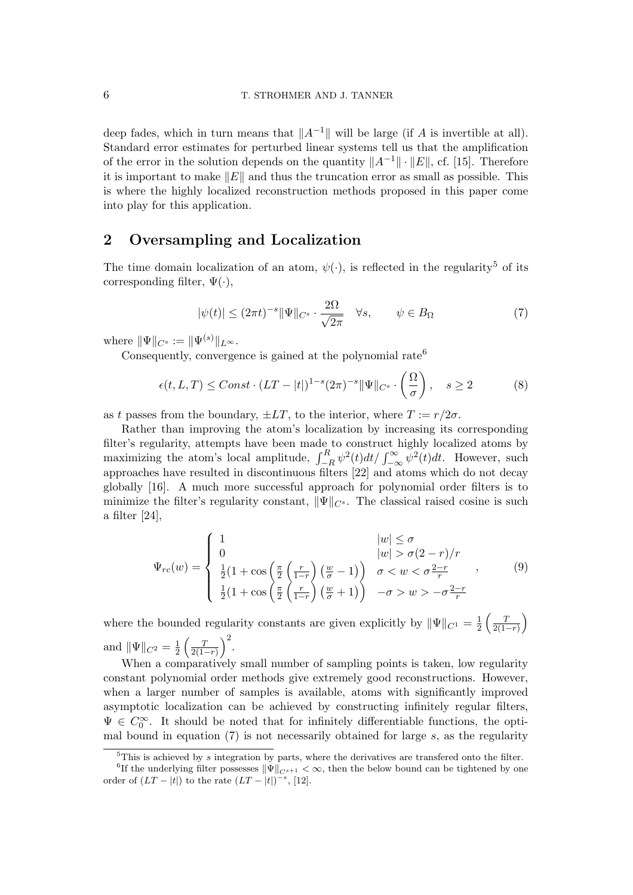deep fades, which in turn means that  $||A^{-1}||$  will be large (if A is invertible at all). Standard error estimates for perturbed linear systems tell us that the amplification of the error in the solution depends on the quantity  $||A^{-1}|| \cdot ||E||$ , cf. [15]. Therefore it is important to make  $||E||$  and thus the truncation error as small as possible. This is where the highly localized reconstruction methods proposed in this paper come into play for this application.

# 2 Oversampling and Localization

The time domain localization of an atom,  $\psi(\cdot)$ , is reflected in the regularity<sup>5</sup> of its corresponding filter,  $\Psi(\cdot)$ ,

$$
|\psi(t)| \le (2\pi t)^{-s} \|\Psi\|_{C^s} \cdot \frac{2\Omega}{\sqrt{2\pi}} \quad \forall s, \qquad \psi \in B_{\Omega} \tag{7}
$$

where  $\|\Psi\|_{C^s} := \|\Psi^{(s)}\|_{L^\infty}$ .

Consequently, convergence is gained at the polynomial rate<sup>6</sup>

$$
\epsilon(t, L, T) \leq Const \cdot (LT - |t|)^{1 - s} (2\pi)^{-s} \|\Psi\|_{C^s} \cdot \left(\frac{\Omega}{\sigma}\right), \quad s \geq 2 \tag{8}
$$

as t passes from the boundary,  $\pm LT$ , to the interior, where  $T := r/2\sigma$ .

Rather than improving the atom's localization by increasing its corresponding filter's regularity, attempts have been made to construct highly localized atoms by maximizing the atom's local amplitude,  $\int_{-R}^{R} \psi^2(t) dt / \int_{-\infty}^{\infty} \psi^2(t) dt$ . However, such approaches have resulted in discontinuous filters [22] and atoms which do not decay globally [16]. A much more successful approach for polynomial order filters is to minimize the filter's regularity constant,  $\|\Psi\|_{C^s}$ . The classical raised cosine is such a filter [24],

$$
\Psi_{rc}(w) = \begin{cases}\n1 & |w| \le \sigma \\
0 & |w| > \sigma(2-r)/r \\
\frac{1}{2}(1 + \cos\left(\frac{\pi}{2}\left(\frac{r}{1-r}\right)\left(\frac{w}{\sigma} - 1\right)\right) & \sigma < w < \sigma\frac{2-r}{r} \\
\frac{1}{2}(1 + \cos\left(\frac{\pi}{2}\left(\frac{r}{1-r}\right)\left(\frac{w}{\sigma} + 1\right)\right) & -\sigma > w > -\sigma\frac{2-r}{r}\n\end{cases}
$$
\n(9)

where the bounded regularity constants are given explicitly by  $\|\Psi\|_{C^1} = \frac{1}{2}$  $rac{1}{2} \left( \frac{T}{2(1 - )^2} \right)$  $\frac{T}{2(1-r)}$ and  $\|\Psi\|_{C^2} = \frac{1}{2}$  $rac{1}{2} \left( \frac{T}{2(1 - )^2} \right)$  $\frac{T}{2(1-r)}\big)^2.$ 

When a comparatively small number of sampling points is taken, low regularity constant polynomial order methods give extremely good reconstructions. However, when a larger number of samples is available, atoms with significantly improved asymptotic localization can be achieved by constructing infinitely regular filters,  $\Psi \in C_0^{\infty}$ . It should be noted that for infinitely differentiable functions, the optimal bound in equation  $(7)$  is not necessarily obtained for large s, as the regularity

 $5$ This is achieved by s integration by parts, where the derivatives are transfered onto the filter.

<sup>&</sup>lt;sup>6</sup>If the underlying filter possesses  $\|\Psi\|_{C^{s+1}} < \infty$ , then the below bound can be tightened by one order of  $(LT - |t|)$  to the rate  $(LT - |t|)^{-s}$ , [12].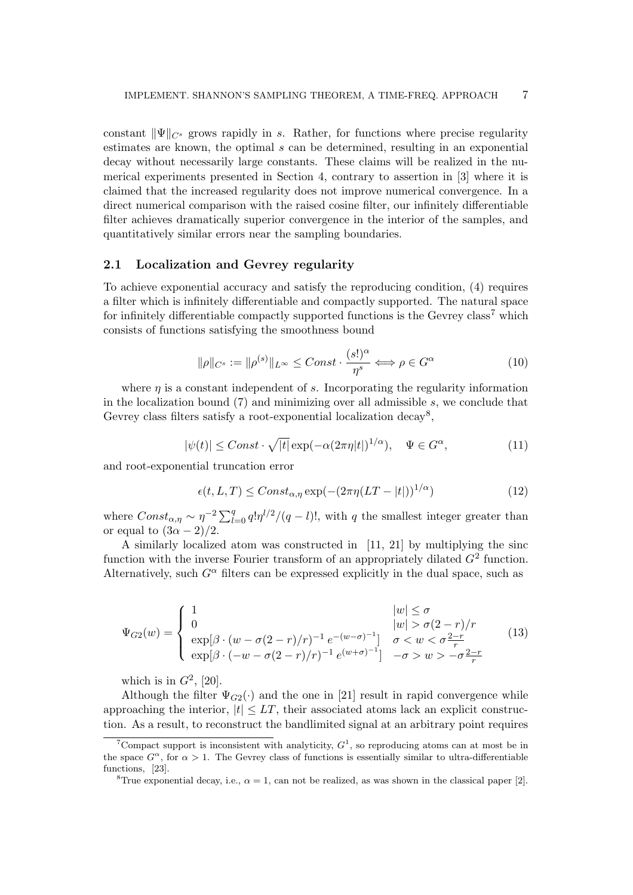constant  $\|\Psi\|_{C^{s}}$  grows rapidly in s. Rather, for functions where precise regularity estimates are known, the optimal s can be determined, resulting in an exponential decay without necessarily large constants. These claims will be realized in the numerical experiments presented in Section 4, contrary to assertion in [3] where it is claimed that the increased regularity does not improve numerical convergence. In a direct numerical comparison with the raised cosine filter, our infinitely differentiable filter achieves dramatically superior convergence in the interior of the samples, and quantitatively similar errors near the sampling boundaries.

#### 2.1 Localization and Gevrey regularity

To achieve exponential accuracy and satisfy the reproducing condition, (4) requires a filter which is infinitely differentiable and compactly supported. The natural space for infinitely differentiable compactly supported functions is the Gevrey class<sup>7</sup> which consists of functions satisfying the smoothness bound

$$
\|\rho\|_{C^s} := \|\rho^{(s)}\|_{L^\infty} \leq Const \cdot \frac{(s!)^\alpha}{\eta^s} \Longleftrightarrow \rho \in G^\alpha \tag{10}
$$

where  $\eta$  is a constant independent of s. Incorporating the regularity information in the localization bound  $(7)$  and minimizing over all admissible s, we conclude that Gevrey class filters satisfy a root-exponential localization decay<sup>8</sup>,

$$
|\psi(t)| \leq Const \cdot \sqrt{|t|} \exp(-\alpha (2\pi \eta |t|)^{1/\alpha}), \quad \Psi \in G^{\alpha}, \tag{11}
$$

and root-exponential truncation error

$$
\epsilon(t, L, T) \leq Const_{\alpha, \eta} \exp(-(2\pi \eta (LT - |t|))^{1/\alpha}) \tag{12}
$$

where  $Const_{\alpha,\eta} \sim \eta^{-2} \sum_{l=0}^{q} q! \eta^{l/2}/(q-l)!$ , with q the smallest integer greater than or equal to  $(3\alpha - 2)/2$ .

A similarly localized atom was constructed in [11, 21] by multiplying the sinc function with the inverse Fourier transform of an appropriately dilated  $G^2$  function. Alternatively, such  $G^{\alpha}$  filters can be expressed explicitly in the dual space, such as

$$
\Psi_{G2}(w) = \begin{cases}\n1 & |w| \le \sigma \\
0 & |w| > \sigma(2-r)/r \\
\exp[\beta \cdot (w - \sigma(2-r)/r)^{-1} e^{-(w-\sigma)^{-1}}] & \sigma < w < \sigma \frac{2-r}{r} \\
\exp[\beta \cdot (-w - \sigma(2-r)/r)^{-1} e^{(w+\sigma)^{-1}}] & -\sigma > w > -\sigma \frac{2-r}{r}\n\end{cases}
$$
\n(13)

which is in  $G^2$ , [20].

Although the filter  $\Psi_{G2}(\cdot)$  and the one in [21] result in rapid convergence while approaching the interior,  $|t| \leq LT$ , their associated atoms lack an explicit construction. As a result, to reconstruct the bandlimited signal at an arbitrary point requires

<sup>&</sup>lt;sup>7</sup>Compact support is inconsistent with analyticity,  $G<sup>1</sup>$ , so reproducing atoms can at most be in the space  $G^{\alpha}$ , for  $\alpha > 1$ . The Gevrey class of functions is essentially similar to ultra-differentiable functions, [23].

<sup>&</sup>lt;sup>8</sup>True exponential decay, i.e.,  $\alpha = 1$ , can not be realized, as was shown in the classical paper [2].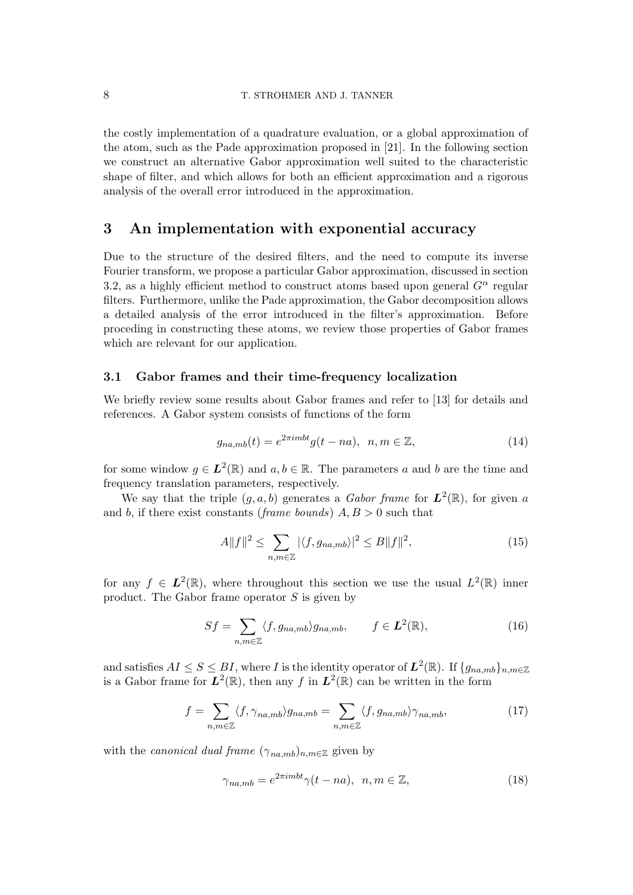the costly implementation of a quadrature evaluation, or a global approximation of the atom, such as the Pade approximation proposed in [21]. In the following section we construct an alternative Gabor approximation well suited to the characteristic shape of filter, and which allows for both an efficient approximation and a rigorous analysis of the overall error introduced in the approximation.

# 3 An implementation with exponential accuracy

Due to the structure of the desired filters, and the need to compute its inverse Fourier transform, we propose a particular Gabor approximation, discussed in section 3.2, as a highly efficient method to construct atoms based upon general  $G^{\alpha}$  regular filters. Furthermore, unlike the Pade approximation, the Gabor decomposition allows a detailed analysis of the error introduced in the filter's approximation. Before proceding in constructing these atoms, we review those properties of Gabor frames which are relevant for our application.

## 3.1 Gabor frames and their time-frequency localization

We briefly review some results about Gabor frames and refer to [13] for details and references. A Gabor system consists of functions of the form

$$
g_{na,mb}(t) = e^{2\pi imbt}g(t-na), \ \ n, m \in \mathbb{Z},\tag{14}
$$

for some window  $g \in L^2(\mathbb{R})$  and  $a, b \in \mathbb{R}$ . The parameters a and b are the time and frequency translation parameters, respectively.

We say that the triple  $(g, a, b)$  generates a *Gabor frame* for  $L^2(\mathbb{R})$ , for given a and b, if there exist constants (frame bounds)  $A, B > 0$  such that

$$
A||f||^2 \le \sum_{n,m \in \mathbb{Z}} |\langle f, g_{na,mb} \rangle|^2 \le B||f||^2,\tag{15}
$$

for any  $f \in L^2(\mathbb{R})$ , where throughout this section we use the usual  $L^2(\mathbb{R})$  inner product. The Gabor frame operator  $S$  is given by

$$
Sf = \sum_{n,m \in \mathbb{Z}} \langle f, g_{na,mb} \rangle g_{na,mb}, \qquad f \in L^2(\mathbb{R}), \tag{16}
$$

and satisfies  $AI \leq S \leq BI$ , where I is the identity operator of  $L^2(\mathbb{R})$ . If  $\{g_{na,mb}\}_{n,m\in\mathbb{Z}}$ is a Gabor frame for  $L^2(\mathbb{R})$ , then any f in  $L^2(\mathbb{R})$  can be written in the form

$$
f = \sum_{n,m \in \mathbb{Z}} \langle f, \gamma_{na,mb} \rangle g_{na,mb} = \sum_{n,m \in \mathbb{Z}} \langle f, g_{na,mb} \rangle \gamma_{na,mb}, \tag{17}
$$

with the *canonical dual frame*  $(\gamma_{na,mb})_{n,m\in\mathbb{Z}}$  given by

$$
\gamma_{na,mb} = e^{2\pi imbt} \gamma(t - na), \ \ n, m \in \mathbb{Z}, \tag{18}
$$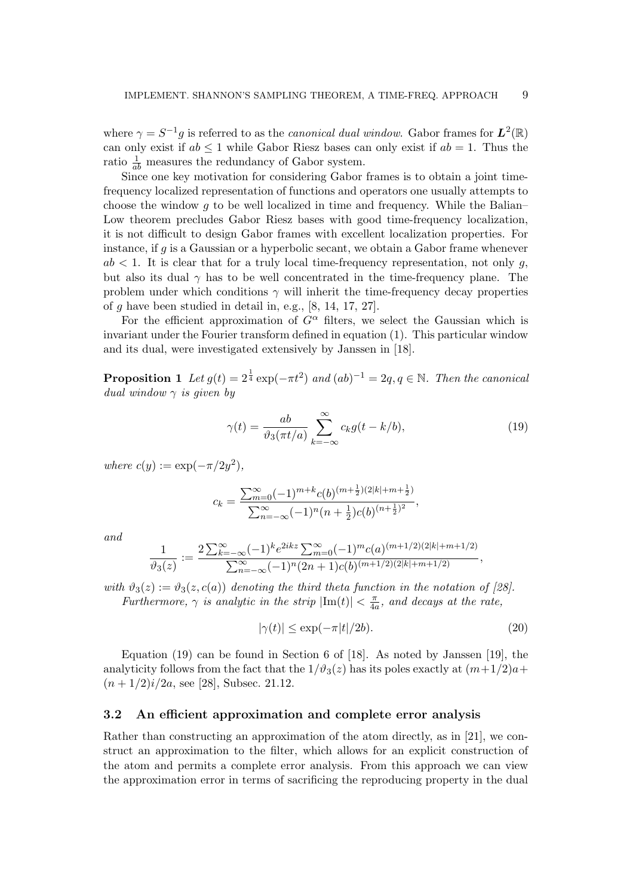where  $\gamma = S^{-1}g$  is referred to as the *canonical dual window*. Gabor frames for  $L^2(\mathbb{R})$ can only exist if  $ab \leq 1$  while Gabor Riesz bases can only exist if  $ab = 1$ . Thus the ratio  $\frac{1}{ab}$  measures the redundancy of Gabor system.

Since one key motivation for considering Gabor frames is to obtain a joint timefrequency localized representation of functions and operators one usually attempts to choose the window  $q$  to be well localized in time and frequency. While the Balian– Low theorem precludes Gabor Riesz bases with good time-frequency localization, it is not difficult to design Gabor frames with excellent localization properties. For instance, if g is a Gaussian or a hyperbolic secant, we obtain a Gabor frame whenever  $ab < 1$ . It is clear that for a truly local time-frequency representation, not only q, but also its dual  $\gamma$  has to be well concentrated in the time-frequency plane. The problem under which conditions  $\gamma$  will inherit the time-frequency decay properties of  $q$  have been studied in detail in, e.g.,  $[8, 14, 17, 27]$ .

For the efficient approximation of  $G^{\alpha}$  filters, we select the Gaussian which is invariant under the Fourier transform defined in equation (1). This particular window and its dual, were investigated extensively by Janssen in [18].

**Proposition 1** Let  $g(t) = 2^{\frac{1}{4}} \exp(-\pi t^2)$  and  $(ab)^{-1} = 2q, q \in \mathbb{N}$ . Then the canonical dual window  $\gamma$  is given by

$$
\gamma(t) = \frac{ab}{\vartheta_3(\pi t/a)} \sum_{k=-\infty}^{\infty} c_k g(t - k/b),\tag{19}
$$

where  $c(y) := \exp(-\pi/2y^2)$ ,

$$
c_k = \frac{\sum_{m=0}^{\infty} (-1)^{m+k} c(b)^{(m+\frac{1}{2})(2|k|+m+\frac{1}{2})}}{\sum_{n=-\infty}^{\infty} (-1)^n (n+\frac{1}{2}) c(b)^{(n+\frac{1}{2})^2}},
$$

and

$$
\frac{1}{\vartheta_3(z)} := \frac{2\sum_{k=-\infty}^{\infty} (-1)^k e^{2ikz} \sum_{m=0}^{\infty} (-1)^m c(a)^{(m+1/2)(2|k|+m+1/2)}}{\sum_{n=-\infty}^{\infty} (-1)^n (2n+1)c(b)^{(m+1/2)(2|k|+m+1/2)}},
$$

with  $\vartheta_3(z) := \vartheta_3(z, c(a))$  denoting the third theta function in the notation of [28]. Furthermore,  $\gamma$  is analytic in the strip  $|\text{Im}(t)| < \frac{\pi}{4d}$  $\frac{\pi}{4a}$ , and decays at the rate,

$$
|\gamma(t)| \le \exp(-\pi|t|/2b). \tag{20}
$$

Equation (19) can be found in Section 6 of [18]. As noted by Janssen [19], the analyticity follows from the fact that the  $1/\vartheta_3(z)$  has its poles exactly at  $(m+1/2)a+$  $(n+1/2)i/2a$ , see [28], Subsec. 21.12.

#### 3.2 An efficient approximation and complete error analysis

Rather than constructing an approximation of the atom directly, as in [21], we construct an approximation to the filter, which allows for an explicit construction of the atom and permits a complete error analysis. From this approach we can view the approximation error in terms of sacrificing the reproducing property in the dual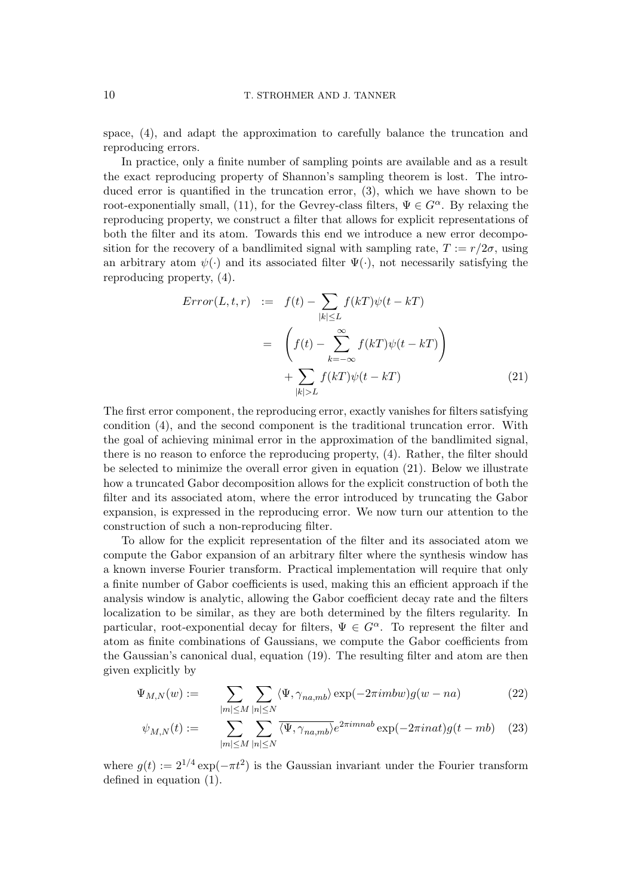space, (4), and adapt the approximation to carefully balance the truncation and reproducing errors.

In practice, only a finite number of sampling points are available and as a result the exact reproducing property of Shannon's sampling theorem is lost. The introduced error is quantified in the truncation error, (3), which we have shown to be root-exponentially small, (11), for the Gevrey-class filters,  $\Psi \in G^{\alpha}$ . By relaxing the reproducing property, we construct a filter that allows for explicit representations of both the filter and its atom. Towards this end we introduce a new error decomposition for the recovery of a bandlimited signal with sampling rate,  $T := r/2\sigma$ , using an arbitrary atom  $\psi(\cdot)$  and its associated filter  $\Psi(\cdot)$ , not necessarily satisfying the reproducing property, (4).

$$
Error(L, t, r) := f(t) - \sum_{|k| \le L} f(kT)\psi(t - kT)
$$

$$
= \left(f(t) - \sum_{k=-\infty}^{\infty} f(kT)\psi(t - kT)\right)
$$

$$
+ \sum_{|k| > L} f(kT)\psi(t - kT)
$$
(21)

The first error component, the reproducing error, exactly vanishes for filters satisfying condition (4), and the second component is the traditional truncation error. With the goal of achieving minimal error in the approximation of the bandlimited signal, there is no reason to enforce the reproducing property, (4). Rather, the filter should be selected to minimize the overall error given in equation (21). Below we illustrate how a truncated Gabor decomposition allows for the explicit construction of both the filter and its associated atom, where the error introduced by truncating the Gabor expansion, is expressed in the reproducing error. We now turn our attention to the construction of such a non-reproducing filter.

To allow for the explicit representation of the filter and its associated atom we compute the Gabor expansion of an arbitrary filter where the synthesis window has a known inverse Fourier transform. Practical implementation will require that only a finite number of Gabor coefficients is used, making this an efficient approach if the analysis window is analytic, allowing the Gabor coefficient decay rate and the filters localization to be similar, as they are both determined by the filters regularity. In particular, root-exponential decay for filters,  $\Psi \in G^{\alpha}$ . To represent the filter and atom as finite combinations of Gaussians, we compute the Gabor coefficients from the Gaussian's canonical dual, equation (19). The resulting filter and atom are then given explicitly by

$$
\Psi_{M,N}(w) := \sum_{|m| \le M} \sum_{|n| \le N} \langle \Psi, \gamma_{na,mb} \rangle \exp(-2\pi imbw) g(w - na)
$$
\n(22)

$$
\psi_{M,N}(t) := \sum_{|m| \le M} \sum_{|n| \le N} \overline{\langle \Psi, \gamma_{na,mb} \rangle} e^{2\pi i m n a b} \exp(-2\pi i n a t) g(t - mb) \quad (23)
$$

where  $g(t) := 2^{1/4} \exp(-\pi t^2)$  is the Gaussian invariant under the Fourier transform defined in equation (1).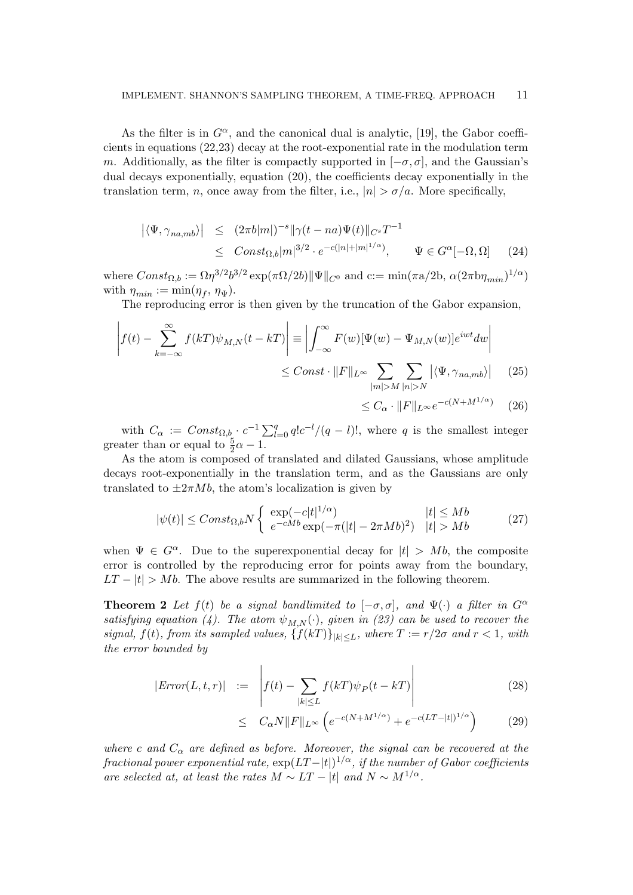As the filter is in  $G^{\alpha}$ , and the canonical dual is analytic, [19], the Gabor coefficients in equations (22,23) decay at the root-exponential rate in the modulation term m. Additionally, as the filter is compactly supported in  $[-\sigma, \sigma]$ , and the Gaussian's dual decays exponentially, equation (20), the coefficients decay exponentially in the translation term, n, once away from the filter, i.e.,  $|n| > \sigma/a$ . More specifically,

$$
\begin{array}{rcl}\n\left| \langle \Psi, \gamma_{na,mb} \rangle \right| & \leq & (2\pi b|m|)^{-s} \|\gamma(t-na)\Psi(t)\|_{C^s} T^{-1} \\
& \leq & Const_{\Omega,b}|m|^{3/2} \cdot e^{-c(|n|+|m|^{1/\alpha})}, \qquad \Psi \in G^{\alpha}[-\Omega, \Omega]\n\end{array} \tag{24}
$$

where  $Const_{\Omega,b} := \Omega \eta^{3/2} b^{3/2} \exp(\pi \Omega/2b) ||\Psi||_{C^0}$  and  $c := min(\pi a/2b, \alpha (2\pi b \eta_{min})^{1/\alpha})$ with  $\eta_{min} := \min(\eta_f, \eta_{\Psi}).$ 

The reproducing error is then given by the truncation of the Gabor expansion,

$$
\left| f(t) - \sum_{k=-\infty}^{\infty} f(kT)\psi_{M,N}(t - kT) \right| \equiv \left| \int_{-\infty}^{\infty} F(w)[\Psi(w) - \Psi_{M,N}(w)]e^{iwt}dw \right|
$$
  

$$
\leq Const \cdot ||F||_{L^{\infty}} \sum_{|m| > M} \sum_{|n| > N} |\langle \Psi, \gamma_{na,mb} \rangle| \qquad (25)
$$

$$
\leq C_{\alpha} \cdot ||F||_{L^{\infty}} e^{-c(N+M^{1/\alpha})} \quad (26)
$$

with  $C_{\alpha} := Const_{\Omega,b} \cdot c^{-1} \sum_{l=0}^{q} q! c^{-l}/(q-l)!$ , where q is the smallest integer greater than or equal to  $\frac{5}{2}\alpha - 1$ .

As the atom is composed of translated and dilated Gaussians, whose amplitude decays root-exponentially in the translation term, and as the Gaussians are only translated to  $\pm 2\pi Mb$ , the atom's localization is given by

$$
|\psi(t)| \leq Const_{\Omega,b} N \begin{cases} \exp(-c|t|^{1/\alpha}) & |t| \leq Mb \\ e^{-cMb} \exp(-\pi(|t| - 2\pi Mb)^2) & |t| > Mb \end{cases}
$$
 (27)

when  $\Psi \in G^{\alpha}$ . Due to the superexponential decay for  $|t| > Mb$ , the composite error is controlled by the reproducing error for points away from the boundary,  $LT - |t| > Mb$ . The above results are summarized in the following theorem.

**Theorem 2** Let  $f(t)$  be a signal bandlimited to  $[-\sigma, \sigma]$ , and  $\Psi(\cdot)$  a filter in  $G^{\alpha}$ satisfying equation (4). The atom  $\psi_{M,N}(\cdot)$ , given in (23) can be used to recover the signal,  $f(t)$ , from its sampled values,  $\{f(kT)\}_{|k| \leq L}$ , where  $T := r/2\sigma$  and  $r < 1$ , with the error bounded by

$$
|Error(L, t, r)| \quad := \quad \left| f(t) - \sum_{|k| \le L} f(kT)\psi_P(t - kT) \right| \tag{28}
$$

$$
\leq C_{\alpha} N \|F\|_{L^{\infty}} \left( e^{-c(N+M^{1/\alpha})} + e^{-c(LT-|t|)^{1/\alpha}} \right) \tag{29}
$$

where c and  $C_{\alpha}$  are defined as before. Moreover, the signal can be recovered at the fractional power exponential rate,  $\exp(LT-|t|)^{1/\alpha}$ , if the number of Gabor coefficients are selected at, at least the rates  $M \sim LT - |t|$  and  $N \sim M^{1/\alpha}$ .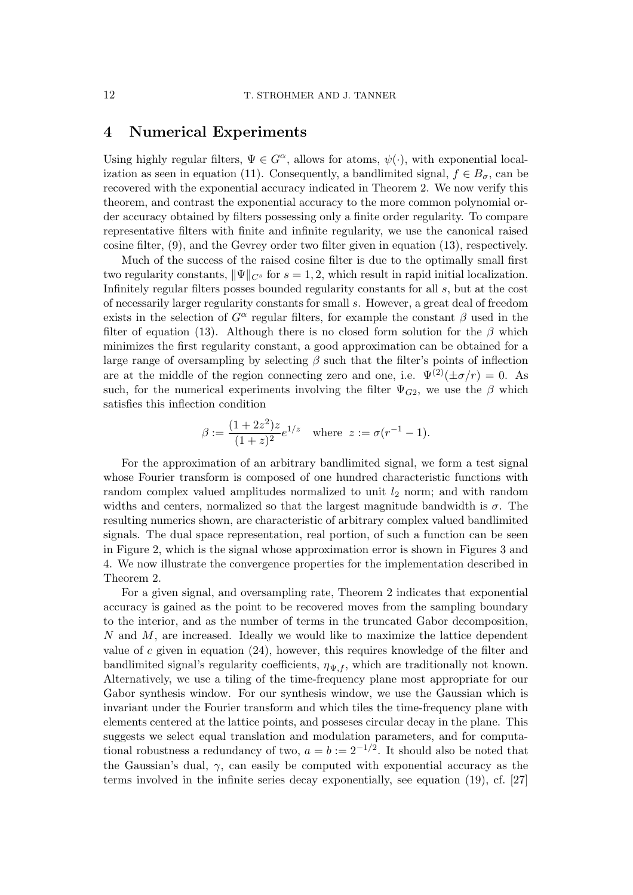# 4 Numerical Experiments

Using highly regular filters,  $\Psi \in G^{\alpha}$ , allows for atoms,  $\psi(\cdot)$ , with exponential localization as seen in equation (11). Consequently, a bandlimited signal,  $f \in B_{\sigma}$ , can be recovered with the exponential accuracy indicated in Theorem 2. We now verify this theorem, and contrast the exponential accuracy to the more common polynomial order accuracy obtained by filters possessing only a finite order regularity. To compare representative filters with finite and infinite regularity, we use the canonical raised cosine filter, (9), and the Gevrey order two filter given in equation (13), respectively.

Much of the success of the raised cosine filter is due to the optimally small first two regularity constants,  $\|\Psi\|_{C^s}$  for  $s = 1, 2$ , which result in rapid initial localization. Infinitely regular filters posses bounded regularity constants for all s, but at the cost of necessarily larger regularity constants for small s. However, a great deal of freedom exists in the selection of  $G^{\alpha}$  regular filters, for example the constant  $\beta$  used in the filter of equation (13). Although there is no closed form solution for the  $\beta$  which minimizes the first regularity constant, a good approximation can be obtained for a large range of oversampling by selecting  $\beta$  such that the filter's points of inflection are at the middle of the region connecting zero and one, i.e.  $\Psi^{(2)}(\pm \sigma/r) = 0$ . As such, for the numerical experiments involving the filter  $\Psi_{G2}$ , we use the  $\beta$  which satisfies this inflection condition

$$
\beta := \frac{(1+2z^2)z}{(1+z)^2}e^{1/z} \quad \text{where } z := \sigma(r^{-1} - 1).
$$

For the approximation of an arbitrary bandlimited signal, we form a test signal whose Fourier transform is composed of one hundred characteristic functions with random complex valued amplitudes normalized to unit  $l_2$  norm; and with random widths and centers, normalized so that the largest magnitude bandwidth is  $\sigma$ . The resulting numerics shown, are characteristic of arbitrary complex valued bandlimited signals. The dual space representation, real portion, of such a function can be seen in Figure 2, which is the signal whose approximation error is shown in Figures 3 and 4. We now illustrate the convergence properties for the implementation described in Theorem 2.

For a given signal, and oversampling rate, Theorem 2 indicates that exponential accuracy is gained as the point to be recovered moves from the sampling boundary to the interior, and as the number of terms in the truncated Gabor decomposition,  $N$  and  $M$ , are increased. Ideally we would like to maximize the lattice dependent value of c given in equation  $(24)$ , however, this requires knowledge of the filter and bandlimited signal's regularity coefficients,  $\eta_{\Psi,f}$ , which are traditionally not known. Alternatively, we use a tiling of the time-frequency plane most appropriate for our Gabor synthesis window. For our synthesis window, we use the Gaussian which is invariant under the Fourier transform and which tiles the time-frequency plane with elements centered at the lattice points, and posseses circular decay in the plane. This suggests we select equal translation and modulation parameters, and for computational robustness a redundancy of two,  $a = b := 2^{-1/2}$ . It should also be noted that the Gaussian's dual,  $\gamma$ , can easily be computed with exponential accuracy as the terms involved in the infinite series decay exponentially, see equation (19), cf. [27]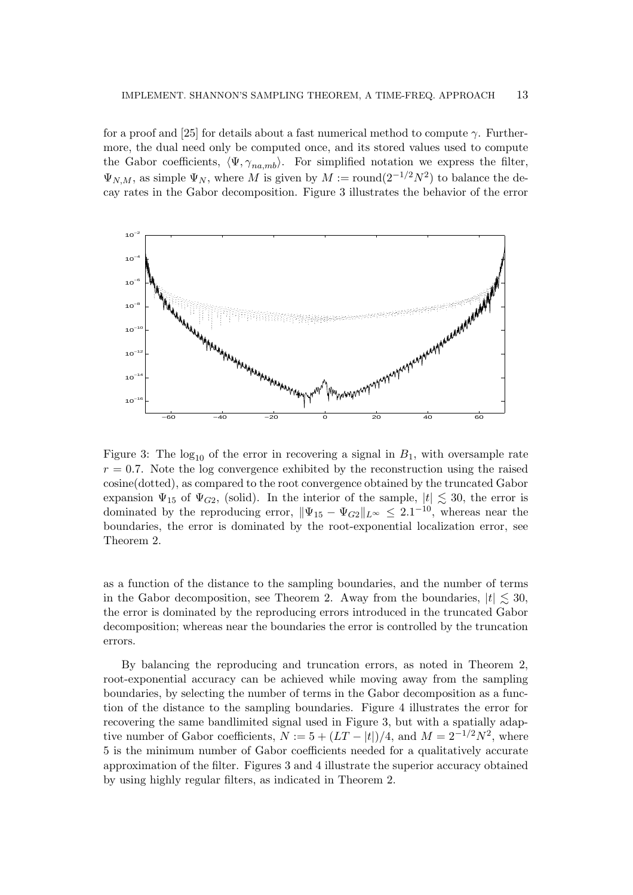for a proof and [25] for details about a fast numerical method to compute  $\gamma$ . Furthermore, the dual need only be computed once, and its stored values used to compute the Gabor coefficients,  $\langle \Psi, \gamma_{na,mb} \rangle$ . For simplified notation we express the filter,  $\Psi_{N,M}$ , as simple  $\Psi_N$ , where M is given by  $M := \text{round}(2^{-1/2}N^2)$  to balance the decay rates in the Gabor decomposition. Figure 3 illustrates the behavior of the error



Figure 3: The  $log_{10}$  of the error in recovering a signal in  $B_1$ , with oversample rate  $r = 0.7$ . Note the log convergence exhibited by the reconstruction using the raised cosine(dotted), as compared to the root convergence obtained by the truncated Gabor expansion  $\Psi_{15}$  of  $\Psi_{G2}$ , (solid). In the interior of the sample,  $|t| \lesssim 30$ , the error is dominated by the reproducing error,  $\|\Psi_{15} - \Psi_{G2}\|_{L^{\infty}} \leq 2.1^{-10}$ , whereas near the boundaries, the error is dominated by the root-exponential localization error, see Theorem 2.

as a function of the distance to the sampling boundaries, and the number of terms in the Gabor decomposition, see Theorem 2. Away from the boundaries,  $|t| \lesssim 30$ , the error is dominated by the reproducing errors introduced in the truncated Gabor decomposition; whereas near the boundaries the error is controlled by the truncation errors.

By balancing the reproducing and truncation errors, as noted in Theorem 2, root-exponential accuracy can be achieved while moving away from the sampling boundaries, by selecting the number of terms in the Gabor decomposition as a function of the distance to the sampling boundaries. Figure 4 illustrates the error for recovering the same bandlimited signal used in Figure 3, but with a spatially adaptive number of Gabor coefficients,  $N := 5 + (LT - |t|)/4$ , and  $M = 2^{-1/2}N^2$ , where 5 is the minimum number of Gabor coefficients needed for a qualitatively accurate approximation of the filter. Figures 3 and 4 illustrate the superior accuracy obtained by using highly regular filters, as indicated in Theorem 2.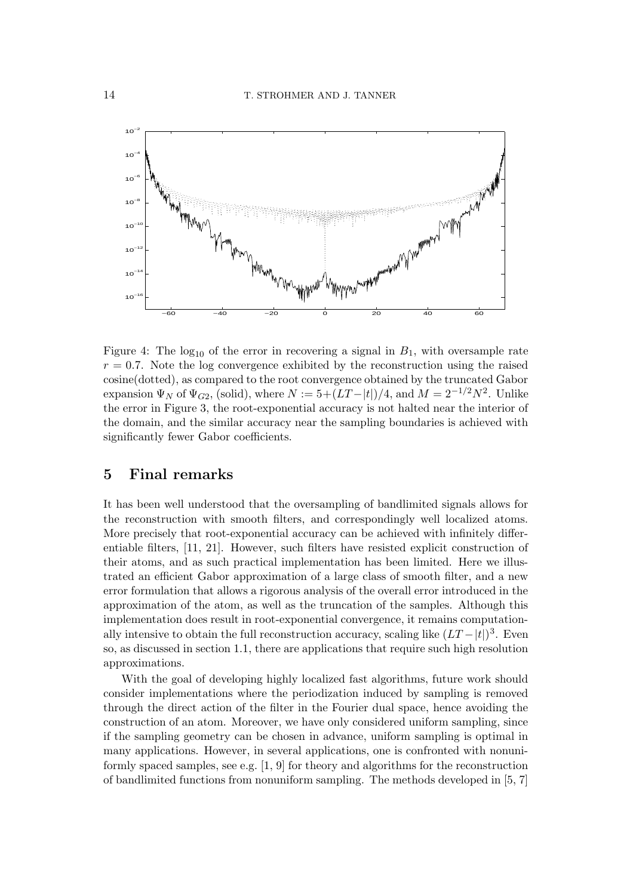

Figure 4: The  $log_{10}$  of the error in recovering a signal in  $B_1$ , with oversample rate  $r = 0.7$ . Note the log convergence exhibited by the reconstruction using the raised cosine(dotted), as compared to the root convergence obtained by the truncated Gabor expansion  $\Psi_N$  of  $\Psi_{G2}$ , (solid), where  $N := 5 + (LT - |t|)/4$ , and  $M = 2^{-1/2}N^2$ . Unlike the error in Figure 3, the root-exponential accuracy is not halted near the interior of the domain, and the similar accuracy near the sampling boundaries is achieved with significantly fewer Gabor coefficients.

# 5 Final remarks

It has been well understood that the oversampling of bandlimited signals allows for the reconstruction with smooth filters, and correspondingly well localized atoms. More precisely that root-exponential accuracy can be achieved with infinitely differentiable filters, [11, 21]. However, such filters have resisted explicit construction of their atoms, and as such practical implementation has been limited. Here we illustrated an efficient Gabor approximation of a large class of smooth filter, and a new error formulation that allows a rigorous analysis of the overall error introduced in the approximation of the atom, as well as the truncation of the samples. Although this implementation does result in root-exponential convergence, it remains computationally intensive to obtain the full reconstruction accuracy, scaling like  $(LT - |t|)^3$ . Even so, as discussed in section 1.1, there are applications that require such high resolution approximations.

With the goal of developing highly localized fast algorithms, future work should consider implementations where the periodization induced by sampling is removed through the direct action of the filter in the Fourier dual space, hence avoiding the construction of an atom. Moreover, we have only considered uniform sampling, since if the sampling geometry can be chosen in advance, uniform sampling is optimal in many applications. However, in several applications, one is confronted with nonuniformly spaced samples, see e.g. [1, 9] for theory and algorithms for the reconstruction of bandlimited functions from nonuniform sampling. The methods developed in [5, 7]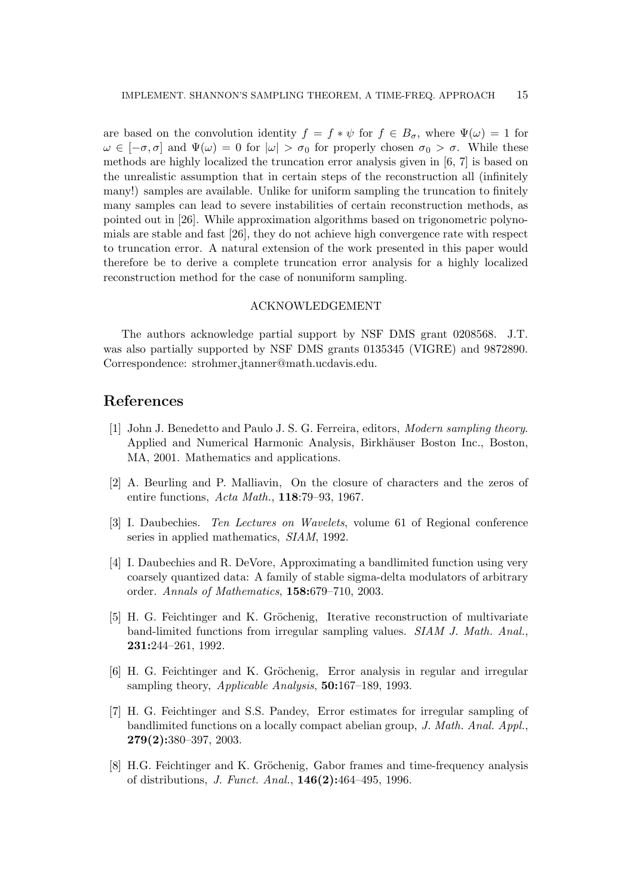are based on the convolution identity  $f = f * \psi$  for  $f \in B_{\sigma}$ , where  $\Psi(\omega) = 1$  for  $\omega \in [-\sigma, \sigma]$  and  $\Psi(\omega) = 0$  for  $|\omega| > \sigma_0$  for properly chosen  $\sigma_0 > \sigma$ . While these methods are highly localized the truncation error analysis given in [6, 7] is based on the unrealistic assumption that in certain steps of the reconstruction all (infinitely many!) samples are available. Unlike for uniform sampling the truncation to finitely many samples can lead to severe instabilities of certain reconstruction methods, as pointed out in [26]. While approximation algorithms based on trigonometric polynomials are stable and fast [26], they do not achieve high convergence rate with respect to truncation error. A natural extension of the work presented in this paper would therefore be to derive a complete truncation error analysis for a highly localized reconstruction method for the case of nonuniform sampling.

#### ACKNOWLEDGEMENT

The authors acknowledge partial support by NSF DMS grant 0208568. J.T. was also partially supported by NSF DMS grants 0135345 (VIGRE) and 9872890. Correspondence: strohmer,jtanner@math.ucdavis.edu.

## References

- [1] John J. Benedetto and Paulo J. S. G. Ferreira, editors, Modern sampling theory. Applied and Numerical Harmonic Analysis, Birkhäuser Boston Inc., Boston, MA, 2001. Mathematics and applications.
- [2] A. Beurling and P. Malliavin, On the closure of characters and the zeros of entire functions, Acta Math., 118:79–93, 1967.
- [3] I. Daubechies. Ten Lectures on Wavelets, volume 61 of Regional conference series in applied mathematics, SIAM, 1992.
- [4] I. Daubechies and R. DeVore, Approximating a bandlimited function using very coarsely quantized data: A family of stable sigma-delta modulators of arbitrary order. Annals of Mathematics, 158:679–710, 2003.
- [5] H. G. Feichtinger and K. Gröchenig, Iterative reconstruction of multivariate band-limited functions from irregular sampling values. SIAM J. Math. Anal., 231:244–261, 1992.
- [6] H. G. Feichtinger and K. Gröchenig, Error analysis in regular and irregular sampling theory, *Applicable Analysis*, **50:**167–189, 1993.
- [7] H. G. Feichtinger and S.S. Pandey, Error estimates for irregular sampling of bandlimited functions on a locally compact abelian group, J. Math. Anal. Appl., 279(2):380–397, 2003.
- [8] H.G. Feichtinger and K. Gröchenig, Gabor frames and time-frequency analysis of distributions, J. Funct. Anal., 146(2):464–495, 1996.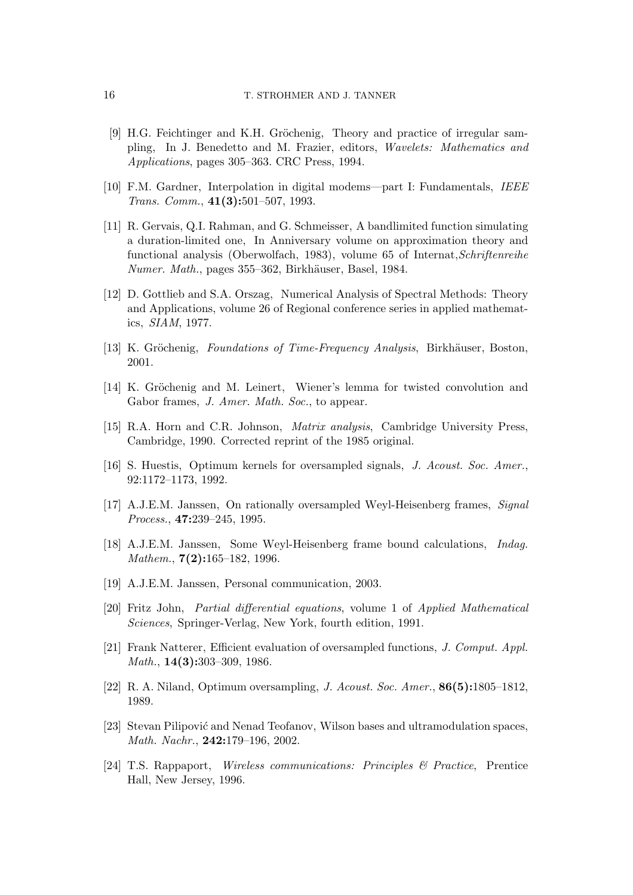- [9] H.G. Feichtinger and K.H. Gröchenig, Theory and practice of irregular sampling, In J. Benedetto and M. Frazier, editors, Wavelets: Mathematics and Applications, pages 305–363. CRC Press, 1994.
- [10] F.M. Gardner, Interpolation in digital modems—part I: Fundamentals, IEEE Trans. Comm., 41(3):501–507, 1993.
- [11] R. Gervais, Q.I. Rahman, and G. Schmeisser, A bandlimited function simulating a duration-limited one, In Anniversary volume on approximation theory and functional analysis (Oberwolfach, 1983), volume 65 of Internat,Schriftenreihe Numer. Math., pages 355–362, Birkhäuser, Basel, 1984.
- [12] D. Gottlieb and S.A. Orszag, Numerical Analysis of Spectral Methods: Theory and Applications, volume 26 of Regional conference series in applied mathematics, SIAM, 1977.
- [13] K. Gröchenig, Foundations of Time-Frequency Analysis, Birkhäuser, Boston, 2001.
- [14] K. Gröchenig and M. Leinert, Wiener's lemma for twisted convolution and Gabor frames, J. Amer. Math. Soc., to appear.
- [15] R.A. Horn and C.R. Johnson, Matrix analysis, Cambridge University Press, Cambridge, 1990. Corrected reprint of the 1985 original.
- [16] S. Huestis, Optimum kernels for oversampled signals, J. Acoust. Soc. Amer., 92:1172–1173, 1992.
- [17] A.J.E.M. Janssen, On rationally oversampled Weyl-Heisenberg frames, Signal Process., 47:239–245, 1995.
- [18] A.J.E.M. Janssen, Some Weyl-Heisenberg frame bound calculations, Indag. Mathem., **7(2):**165–182, 1996.
- [19] A.J.E.M. Janssen, Personal communication, 2003.
- [20] Fritz John, Partial differential equations, volume 1 of Applied Mathematical Sciences, Springer-Verlag, New York, fourth edition, 1991.
- [21] Frank Natterer, Efficient evaluation of oversampled functions, J. Comput. Appl. Math., **14(3):**303–309, 1986.
- [22] R. A. Niland, Optimum oversampling, J. Acoust. Soc. Amer., 86(5):1805–1812, 1989.
- [23] Stevan Pilipović and Nenad Teofanov, Wilson bases and ultramodulation spaces, Math. Nachr., 242:179–196, 2002.
- [24] T.S. Rappaport, Wireless communications: Principles & Practice, Prentice Hall, New Jersey, 1996.